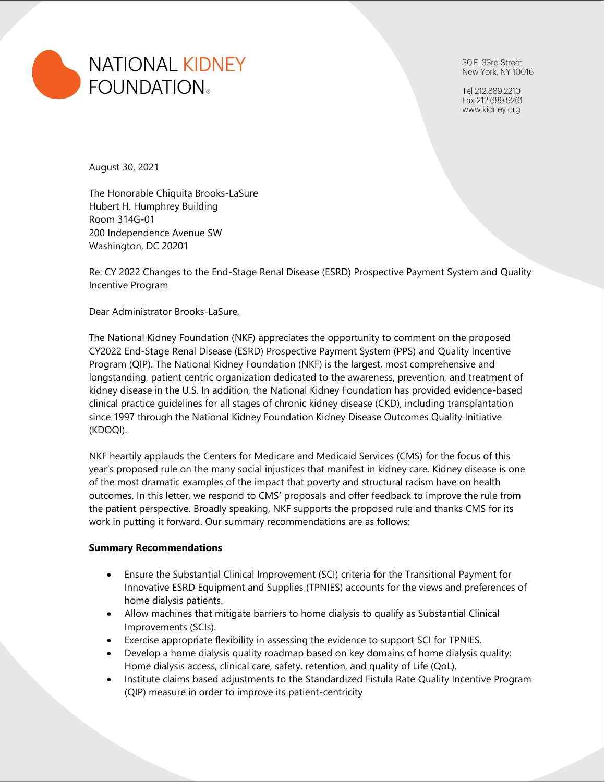

30 E. 33rd Street New York, NY 10016

Tel 212.889.2210 Fax 212.689.9261 www.kidney.org

August 30, 2021

The Honorable Chiquita Brooks-LaSure Hubert H. Humphrey Building Room 314G-01 200 Independence Avenue SW Washington, DC 20201

Re: CY 2022 Changes to the End-Stage Renal Disease (ESRD) Prospective Payment System and Quality Incentive Program

Dear Administrator Brooks-LaSure,

The National Kidney Foundation (NKF) appreciates the opportunity to comment on the proposed CY2022 End-Stage Renal Disease (ESRD) Prospective Payment System (PPS) and Quality Incentive Program (QIP). The National Kidney Foundation (NKF) is the largest, most comprehensive and longstanding, patient centric organization dedicated to the awareness, prevention, and treatment of kidney disease in the U.S. In addition, the National Kidney Foundation has provided evidence-based clinical practice guidelines for all stages of chronic kidney disease (CKD), including transplantation since 1997 through the National Kidney Foundation Kidney Disease Outcomes Quality Initiative (KDOQI).

NKF heartily applauds the Centers for Medicare and Medicaid Services (CMS) for the focus of this year's proposed rule on the many social injustices that manifest in kidney care. Kidney disease is one of the most dramatic examples of the impact that poverty and structural racism have on health outcomes. In this letter, we respond to CMS' proposals and offer feedback to improve the rule from the patient perspective. Broadly speaking, NKF supports the proposed rule and thanks CMS for its work in putting it forward. Our summary recommendations are as follows:

#### **Summary Recommendations**

- Ensure the Substantial Clinical Improvement (SCI) criteria for the Transitional Payment for Innovative ESRD Equipment and Supplies (TPNIES) accounts for the views and preferences of home dialysis patients.
- Allow machines that mitigate barriers to home dialysis to qualify as Substantial Clinical Improvements (SCIs).
- Exercise appropriate flexibility in assessing the evidence to support SCI for TPNIES.
- Develop a home dialysis quality roadmap based on key domains of home dialysis quality: Home dialysis access, clinical care, safety, retention, and quality of Life (QoL).
- Institute claims based adjustments to the Standardized Fistula Rate Quality Incentive Program (QIP) measure in order to improve its patient-centricity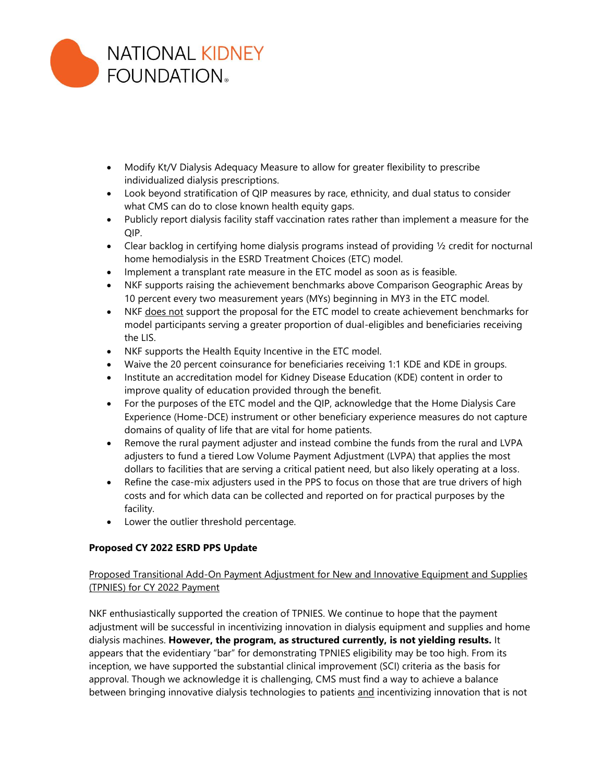

- Modify Kt/V Dialysis Adequacy Measure to allow for greater flexibility to prescribe individualized dialysis prescriptions.
- Look beyond stratification of QIP measures by race, ethnicity, and dual status to consider what CMS can do to close known health equity gaps.
- Publicly report dialysis facility staff vaccination rates rather than implement a measure for the QIP.
- Clear backlog in certifying home dialysis programs instead of providing ½ credit for nocturnal home hemodialysis in the ESRD Treatment Choices (ETC) model.
- Implement a transplant rate measure in the ETC model as soon as is feasible.
- NKF supports raising the achievement benchmarks above Comparison Geographic Areas by 10 percent every two measurement years (MYs) beginning in MY3 in the ETC model.
- NKF does not support the proposal for the ETC model to create achievement benchmarks for model participants serving a greater proportion of dual-eligibles and beneficiaries receiving the LIS.
- NKF supports the Health Equity Incentive in the ETC model.
- Waive the 20 percent coinsurance for beneficiaries receiving 1:1 KDE and KDE in groups.
- Institute an accreditation model for Kidney Disease Education (KDE) content in order to improve quality of education provided through the benefit.
- For the purposes of the ETC model and the QIP, acknowledge that the Home Dialysis Care Experience (Home-DCE) instrument or other beneficiary experience measures do not capture domains of quality of life that are vital for home patients.
- Remove the rural payment adjuster and instead combine the funds from the rural and LVPA adjusters to fund a tiered Low Volume Payment Adjustment (LVPA) that applies the most dollars to facilities that are serving a critical patient need, but also likely operating at a loss.
- Refine the case-mix adjusters used in the PPS to focus on those that are true drivers of high costs and for which data can be collected and reported on for practical purposes by the facility.
- Lower the outlier threshold percentage.

# **Proposed CY 2022 ESRD PPS Update**

# Proposed Transitional Add-On Payment Adjustment for New and Innovative Equipment and Supplies (TPNIES) for CY 2022 Payment

NKF enthusiastically supported the creation of TPNIES. We continue to hope that the payment adjustment will be successful in incentivizing innovation in dialysis equipment and supplies and home dialysis machines. **However, the program, as structured currently, is not yielding results.** It appears that the evidentiary "bar" for demonstrating TPNIES eligibility may be too high. From its inception, we have supported the substantial clinical improvement (SCI) criteria as the basis for approval. Though we acknowledge it is challenging, CMS must find a way to achieve a balance between bringing innovative dialysis technologies to patients and incentivizing innovation that is not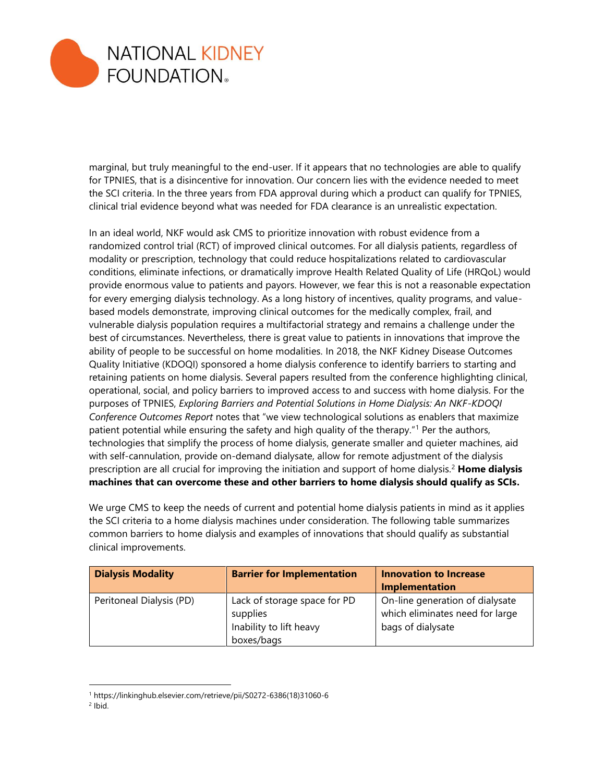

marginal, but truly meaningful to the end-user. If it appears that no technologies are able to qualify for TPNIES, that is a disincentive for innovation. Our concern lies with the evidence needed to meet the SCI criteria. In the three years from FDA approval during which a product can qualify for TPNIES, clinical trial evidence beyond what was needed for FDA clearance is an unrealistic expectation.

In an ideal world, NKF would ask CMS to prioritize innovation with robust evidence from a randomized control trial (RCT) of improved clinical outcomes. For all dialysis patients, regardless of modality or prescription, technology that could reduce hospitalizations related to cardiovascular conditions, eliminate infections, or dramatically improve Health Related Quality of Life (HRQoL) would provide enormous value to patients and payors. However, we fear this is not a reasonable expectation for every emerging dialysis technology. As a long history of incentives, quality programs, and valuebased models demonstrate, improving clinical outcomes for the medically complex, frail, and vulnerable dialysis population requires a multifactorial strategy and remains a challenge under the best of circumstances. Nevertheless, there is great value to patients in innovations that improve the ability of people to be successful on home modalities. In 2018, the NKF Kidney Disease Outcomes Quality Initiative (KDOQI) sponsored a home dialysis conference to identify barriers to starting and retaining patients on home dialysis. Several papers resulted from the conference highlighting clinical, operational, social, and policy barriers to improved access to and success with home dialysis. For the purposes of TPNIES, *Exploring Barriers and Potential Solutions in Home Dialysis: An NKF-KDOQI Conference Outcomes Report* notes that "we view technological solutions as enablers that maximize patient potential while ensuring the safety and high quality of the therapy."<sup>1</sup> Per the authors, technologies that simplify the process of home dialysis, generate smaller and quieter machines, aid with self-cannulation, provide on-demand dialysate, allow for remote adjustment of the dialysis prescription are all crucial for improving the initiation and support of home dialysis.<sup>2</sup> **Home dialysis machines that can overcome these and other barriers to home dialysis should qualify as SCIs.**

We urge CMS to keep the needs of current and potential home dialysis patients in mind as it applies the SCI criteria to a home dialysis machines under consideration. The following table summarizes common barriers to home dialysis and examples of innovations that should qualify as substantial clinical improvements.

| <b>Dialysis Modality</b> | <b>Barrier for Implementation</b>                                                 | <b>Innovation to Increase</b><br>Implementation                                         |
|--------------------------|-----------------------------------------------------------------------------------|-----------------------------------------------------------------------------------------|
| Peritoneal Dialysis (PD) | Lack of storage space for PD<br>supplies<br>Inability to lift heavy<br>boxes/bags | On-line generation of dialysate<br>which eliminates need for large<br>bags of dialysate |

<sup>2</sup> Ibid.

<sup>1</sup> https://linkinghub.elsevier.com/retrieve/pii/S0272-6386(18)31060-6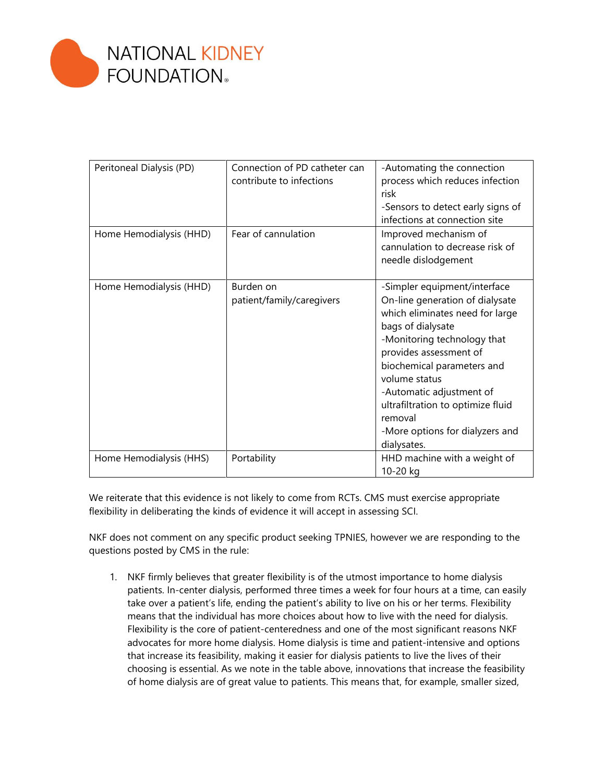

| Peritoneal Dialysis (PD) | Connection of PD catheter can | -Automating the connection        |
|--------------------------|-------------------------------|-----------------------------------|
|                          | contribute to infections      | process which reduces infection   |
|                          |                               | risk                              |
|                          |                               | -Sensors to detect early signs of |
|                          |                               | infections at connection site     |
| Home Hemodialysis (HHD)  | Fear of cannulation           | Improved mechanism of             |
|                          |                               | cannulation to decrease risk of   |
|                          |                               | needle dislodgement               |
|                          |                               |                                   |
| Home Hemodialysis (HHD)  | Burden on                     | -Simpler equipment/interface      |
|                          | patient/family/caregivers     | On-line generation of dialysate   |
|                          |                               | which eliminates need for large   |
|                          |                               | bags of dialysate                 |
|                          |                               | -Monitoring technology that       |
|                          |                               | provides assessment of            |
|                          |                               | biochemical parameters and        |
|                          |                               | volume status                     |
|                          |                               | -Automatic adjustment of          |
|                          |                               | ultrafiltration to optimize fluid |
|                          |                               | removal                           |
|                          |                               | -More options for dialyzers and   |
|                          |                               | dialysates.                       |
| Home Hemodialysis (HHS)  | Portability                   | HHD machine with a weight of      |
|                          |                               | 10-20 kg                          |

We reiterate that this evidence is not likely to come from RCTs. CMS must exercise appropriate flexibility in deliberating the kinds of evidence it will accept in assessing SCI.

NKF does not comment on any specific product seeking TPNIES, however we are responding to the questions posted by CMS in the rule:

1. NKF firmly believes that greater flexibility is of the utmost importance to home dialysis patients. In-center dialysis, performed three times a week for four hours at a time, can easily take over a patient's life, ending the patient's ability to live on his or her terms. Flexibility means that the individual has more choices about how to live with the need for dialysis. Flexibility is the core of patient-centeredness and one of the most significant reasons NKF advocates for more home dialysis. Home dialysis is time and patient-intensive and options that increase its feasibility, making it easier for dialysis patients to live the lives of their choosing is essential. As we note in the table above, innovations that increase the feasibility of home dialysis are of great value to patients. This means that, for example, smaller sized,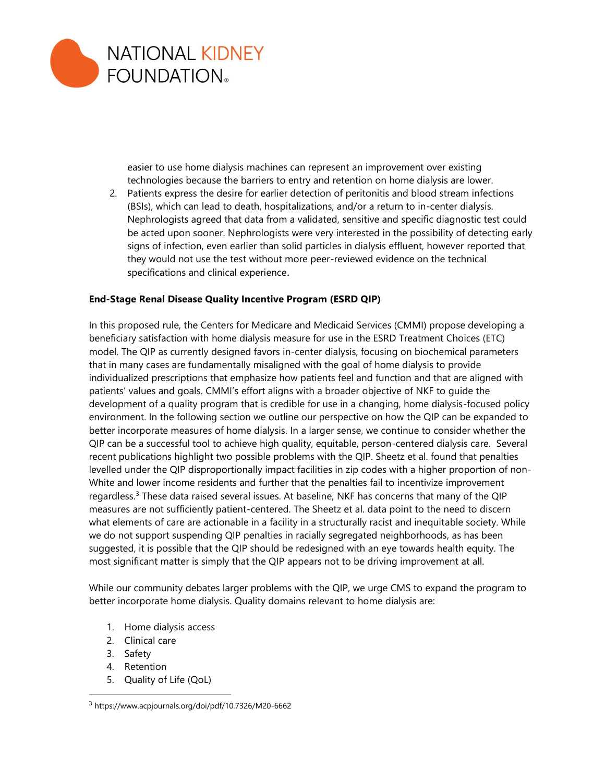

easier to use home dialysis machines can represent an improvement over existing technologies because the barriers to entry and retention on home dialysis are lower.

2. Patients express the desire for earlier detection of peritonitis and blood stream infections (BSIs), which can lead to death, hospitalizations, and/or a return to in-center dialysis. Nephrologists agreed that data from a validated, sensitive and specific diagnostic test could be acted upon sooner. Nephrologists were very interested in the possibility of detecting early signs of infection, even earlier than solid particles in dialysis effluent, however reported that they would not use the test without more peer-reviewed evidence on the technical specifications and clinical experience.

# **End-Stage Renal Disease Quality Incentive Program (ESRD QIP)**

In this proposed rule, the Centers for Medicare and Medicaid Services (CMMI) propose developing a beneficiary satisfaction with home dialysis measure for use in the ESRD Treatment Choices (ETC) model. The QIP as currently designed favors in-center dialysis, focusing on biochemical parameters that in many cases are fundamentally misaligned with the goal of home dialysis to provide individualized prescriptions that emphasize how patients feel and function and that are aligned with patients' values and goals. CMMI's effort aligns with a broader objective of NKF to guide the development of a quality program that is credible for use in a changing, home dialysis-focused policy environment. In the following section we outline our perspective on how the QIP can be expanded to better incorporate measures of home dialysis. In a larger sense, we continue to consider whether the QIP can be a successful tool to achieve high quality, equitable, person-centered dialysis care. Several recent publications highlight two possible problems with the QIP. Sheetz et al. found that penalties levelled under the QIP disproportionally impact facilities in zip codes with a higher proportion of non-White and lower income residents and further that the penalties fail to incentivize improvement regardless.<sup>3</sup> These data raised several issues. At baseline, NKF has concerns that many of the QIP measures are not sufficiently patient-centered. The Sheetz et al. data point to the need to discern what elements of care are actionable in a facility in a structurally racist and inequitable society. While we do not support suspending QIP penalties in racially segregated neighborhoods, as has been suggested, it is possible that the QIP should be redesigned with an eye towards health equity. The most significant matter is simply that the QIP appears not to be driving improvement at all.

While our community debates larger problems with the QIP, we urge CMS to expand the program to better incorporate home dialysis. Quality domains relevant to home dialysis are:

- 1. Home dialysis access
- 2. Clinical care
- 3. Safety
- 4. Retention
- 5. Quality of Life (QoL)

<sup>3</sup> https://www.acpjournals.org/doi/pdf/10.7326/M20-6662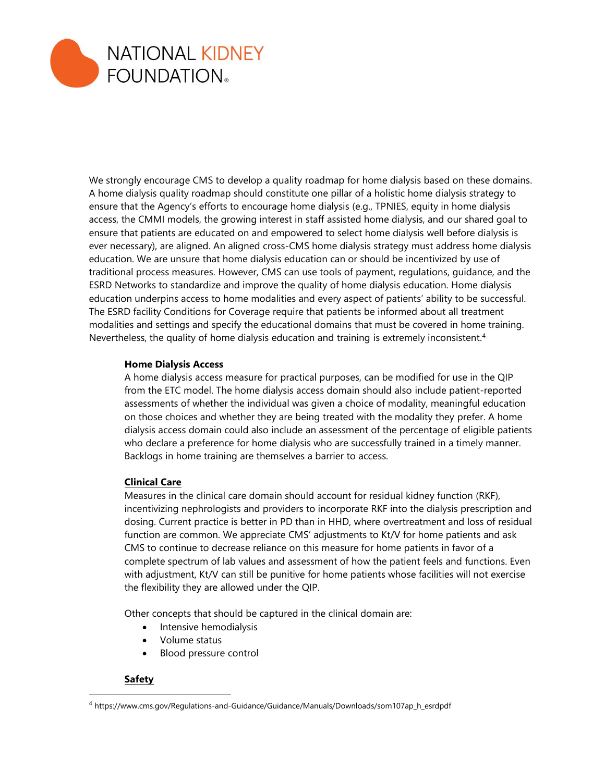

We strongly encourage CMS to develop a quality roadmap for home dialysis based on these domains. A home dialysis quality roadmap should constitute one pillar of a holistic home dialysis strategy to ensure that the Agency's efforts to encourage home dialysis (e.g., TPNIES, equity in home dialysis access, the CMMI models, the growing interest in staff assisted home dialysis, and our shared goal to ensure that patients are educated on and empowered to select home dialysis well before dialysis is ever necessary), are aligned. An aligned cross-CMS home dialysis strategy must address home dialysis education. We are unsure that home dialysis education can or should be incentivized by use of traditional process measures. However, CMS can use tools of payment, regulations, guidance, and the ESRD Networks to standardize and improve the quality of home dialysis education. Home dialysis education underpins access to home modalities and every aspect of patients' ability to be successful. The ESRD facility Conditions for Coverage require that patients be informed about all treatment modalities and settings and specify the educational domains that must be covered in home training. Nevertheless, the quality of home dialysis education and training is extremely inconsistent.<sup>4</sup>

# **Home Dialysis Access**

A home dialysis access measure for practical purposes, can be modified for use in the QIP from the ETC model. The home dialysis access domain should also include patient-reported assessments of whether the individual was given a choice of modality, meaningful education on those choices and whether they are being treated with the modality they prefer. A home dialysis access domain could also include an assessment of the percentage of eligible patients who declare a preference for home dialysis who are successfully trained in a timely manner. Backlogs in home training are themselves a barrier to access.

#### **Clinical Care**

Measures in the clinical care domain should account for residual kidney function (RKF), incentivizing nephrologists and providers to incorporate RKF into the dialysis prescription and dosing. Current practice is better in PD than in HHD, where overtreatment and loss of residual function are common. We appreciate CMS' adjustments to Kt/V for home patients and ask CMS to continue to decrease reliance on this measure for home patients in favor of a complete spectrum of lab values and assessment of how the patient feels and functions. Even with adjustment, Kt/V can still be punitive for home patients whose facilities will not exercise the flexibility they are allowed under the QIP.

Other concepts that should be captured in the clinical domain are:

- Intensive hemodialysis
- Volume status
- Blood pressure control

# **Safety**

<sup>4</sup> https://www.cms.gov/Regulations-and-Guidance/Guidance/Manuals/Downloads/som107ap\_h\_esrdpdf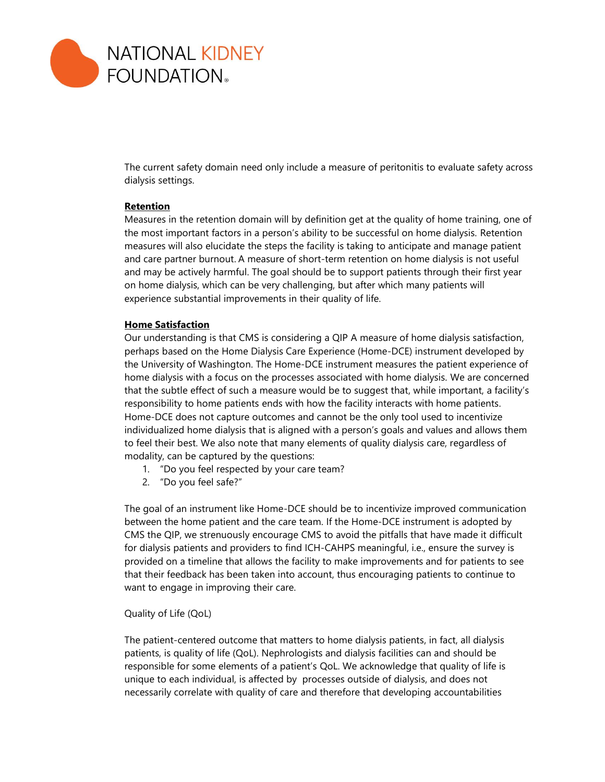

The current safety domain need only include a measure of peritonitis to evaluate safety across dialysis settings.

#### **Retention**

Measures in the retention domain will by definition get at the quality of home training, one of the most important factors in a person's ability to be successful on home dialysis. Retention measures will also elucidate the steps the facility is taking to anticipate and manage patient and care partner burnout. A measure of short-term retention on home dialysis is not useful and may be actively harmful. The goal should be to support patients through their first year on home dialysis, which can be very challenging, but after which many patients will experience substantial improvements in their quality of life.

#### **Home Satisfaction**

Our understanding is that CMS is considering a QIP A measure of home dialysis satisfaction, perhaps based on the Home Dialysis Care Experience (Home-DCE) instrument developed by the University of Washington. The Home-DCE instrument measures the patient experience of home dialysis with a focus on the processes associated with home dialysis. We are concerned that the subtle effect of such a measure would be to suggest that, while important, a facility's responsibility to home patients ends with how the facility interacts with home patients. Home-DCE does not capture outcomes and cannot be the only tool used to incentivize individualized home dialysis that is aligned with a person's goals and values and allows them to feel their best. We also note that many elements of quality dialysis care, regardless of modality, can be captured by the questions:

- 1. "Do you feel respected by your care team?
- 2. "Do you feel safe?"

The goal of an instrument like Home-DCE should be to incentivize improved communication between the home patient and the care team. If the Home-DCE instrument is adopted by CMS the QIP, we strenuously encourage CMS to avoid the pitfalls that have made it difficult for dialysis patients and providers to find ICH-CAHPS meaningful, i.e., ensure the survey is provided on a timeline that allows the facility to make improvements and for patients to see that their feedback has been taken into account, thus encouraging patients to continue to want to engage in improving their care.

# Quality of Life (QoL)

The patient-centered outcome that matters to home dialysis patients, in fact, all dialysis patients, is quality of life (QoL). Nephrologists and dialysis facilities can and should be responsible for some elements of a patient's QoL. We acknowledge that quality of life is unique to each individual, is affected by processes outside of dialysis, and does not necessarily correlate with quality of care and therefore that developing accountabilities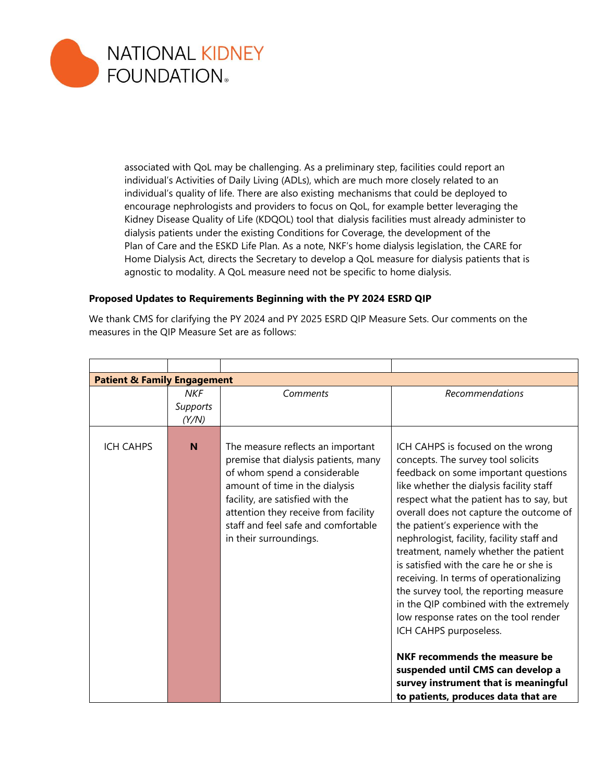

associated with QoL may be challenging. As a preliminary step, facilities could report an individual's Activities of Daily Living (ADLs), which are much more closely related to an individual's quality of life. There are also existing mechanisms that could be deployed to encourage nephrologists and providers to focus on QoL, for example better leveraging the Kidney Disease Quality of Life (KDQOL) tool that dialysis facilities must already administer to dialysis patients under the existing Conditions for Coverage, the development of the Plan of Care and the ESKD Life Plan. As a note, NKF's home dialysis legislation, the CARE for Home Dialysis Act, directs the Secretary to develop a QoL measure for dialysis patients that is agnostic to modality. A QoL measure need not be specific to home dialysis.

# **Proposed Updates to Requirements Beginning with the PY 2024 ESRD QIP**

We thank CMS for clarifying the PY 2024 and PY 2025 ESRD QIP Measure Sets. Our comments on the measures in the QIP Measure Set are as follows:

| <b>Patient &amp; Family Engagement</b> |                                        |                                                                                                                                                                                                                                                                                          |                                                                                                                                                                                                                                                                                                                                                                                                                                                                                                                                                                                                                                                                                                                                                                                  |
|----------------------------------------|----------------------------------------|------------------------------------------------------------------------------------------------------------------------------------------------------------------------------------------------------------------------------------------------------------------------------------------|----------------------------------------------------------------------------------------------------------------------------------------------------------------------------------------------------------------------------------------------------------------------------------------------------------------------------------------------------------------------------------------------------------------------------------------------------------------------------------------------------------------------------------------------------------------------------------------------------------------------------------------------------------------------------------------------------------------------------------------------------------------------------------|
|                                        | <b>NKF</b><br><b>Supports</b><br>(Y/N) | Comments                                                                                                                                                                                                                                                                                 | Recommendations                                                                                                                                                                                                                                                                                                                                                                                                                                                                                                                                                                                                                                                                                                                                                                  |
| <b>ICH CAHPS</b>                       | N                                      | The measure reflects an important<br>premise that dialysis patients, many<br>of whom spend a considerable<br>amount of time in the dialysis<br>facility, are satisfied with the<br>attention they receive from facility<br>staff and feel safe and comfortable<br>in their surroundings. | ICH CAHPS is focused on the wrong<br>concepts. The survey tool solicits<br>feedback on some important questions<br>like whether the dialysis facility staff<br>respect what the patient has to say, but<br>overall does not capture the outcome of<br>the patient's experience with the<br>nephrologist, facility, facility staff and<br>treatment, namely whether the patient<br>is satisfied with the care he or she is<br>receiving. In terms of operationalizing<br>the survey tool, the reporting measure<br>in the QIP combined with the extremely<br>low response rates on the tool render<br>ICH CAHPS purposeless.<br>NKF recommends the measure be<br>suspended until CMS can develop a<br>survey instrument that is meaningful<br>to patients, produces data that are |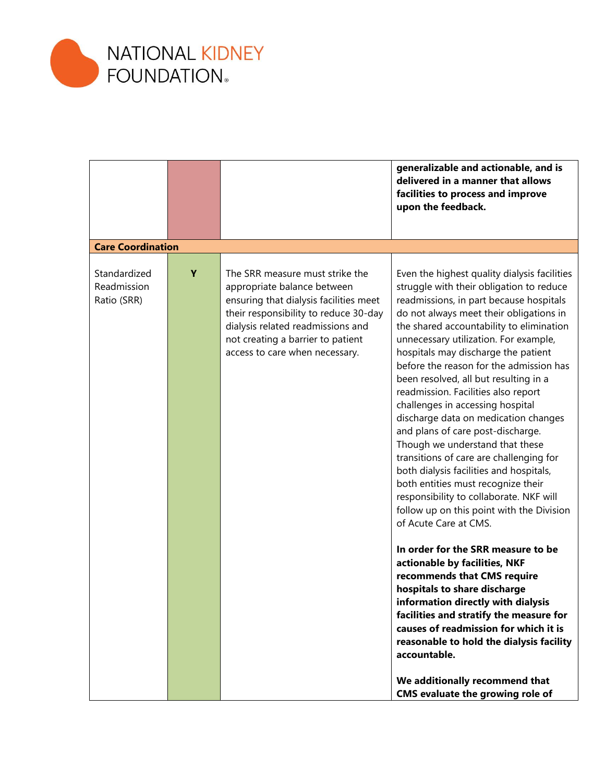

|                                            |   |                                                                                                                                                                                                                                                               | generalizable and actionable, and is<br>delivered in a manner that allows<br>facilities to process and improve<br>upon the feedback.                                                                                                                                                                                                                                                                                                                                                                                                                                                                                                                                                                                                                                                                                                                                                                                                                                                                                                                                                                                                                                                                 |
|--------------------------------------------|---|---------------------------------------------------------------------------------------------------------------------------------------------------------------------------------------------------------------------------------------------------------------|------------------------------------------------------------------------------------------------------------------------------------------------------------------------------------------------------------------------------------------------------------------------------------------------------------------------------------------------------------------------------------------------------------------------------------------------------------------------------------------------------------------------------------------------------------------------------------------------------------------------------------------------------------------------------------------------------------------------------------------------------------------------------------------------------------------------------------------------------------------------------------------------------------------------------------------------------------------------------------------------------------------------------------------------------------------------------------------------------------------------------------------------------------------------------------------------------|
| <b>Care Coordination</b>                   |   |                                                                                                                                                                                                                                                               |                                                                                                                                                                                                                                                                                                                                                                                                                                                                                                                                                                                                                                                                                                                                                                                                                                                                                                                                                                                                                                                                                                                                                                                                      |
| Standardized<br>Readmission<br>Ratio (SRR) | Y | The SRR measure must strike the<br>appropriate balance between<br>ensuring that dialysis facilities meet<br>their responsibility to reduce 30-day<br>dialysis related readmissions and<br>not creating a barrier to patient<br>access to care when necessary. | Even the highest quality dialysis facilities<br>struggle with their obligation to reduce<br>readmissions, in part because hospitals<br>do not always meet their obligations in<br>the shared accountability to elimination<br>unnecessary utilization. For example,<br>hospitals may discharge the patient<br>before the reason for the admission has<br>been resolved, all but resulting in a<br>readmission. Facilities also report<br>challenges in accessing hospital<br>discharge data on medication changes<br>and plans of care post-discharge.<br>Though we understand that these<br>transitions of care are challenging for<br>both dialysis facilities and hospitals,<br>both entities must recognize their<br>responsibility to collaborate. NKF will<br>follow up on this point with the Division<br>of Acute Care at CMS.<br>In order for the SRR measure to be<br>actionable by facilities, NKF<br>recommends that CMS require<br>hospitals to share discharge<br>information directly with dialysis<br>facilities and stratify the measure for<br>causes of readmission for which it is<br>reasonable to hold the dialysis facility<br>accountable.<br>We additionally recommend that |
|                                            |   |                                                                                                                                                                                                                                                               | <b>CMS</b> evaluate the growing role of                                                                                                                                                                                                                                                                                                                                                                                                                                                                                                                                                                                                                                                                                                                                                                                                                                                                                                                                                                                                                                                                                                                                                              |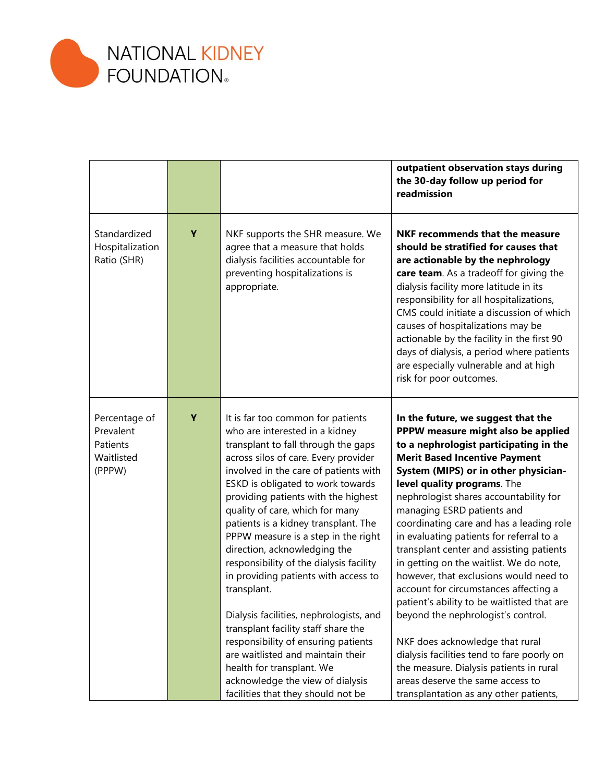

|                                                                |   |                                                                                                                                                                                                                                                                                                                                                                                                                                                                                                                                                                                                                                                                                                                                                                                                  | outpatient observation stays during<br>the 30-day follow up period for<br>readmission                                                                                                                                                                                                                                                                                                                                                                                                                                                                                                                                                                                                                                                                                                                                                                                      |
|----------------------------------------------------------------|---|--------------------------------------------------------------------------------------------------------------------------------------------------------------------------------------------------------------------------------------------------------------------------------------------------------------------------------------------------------------------------------------------------------------------------------------------------------------------------------------------------------------------------------------------------------------------------------------------------------------------------------------------------------------------------------------------------------------------------------------------------------------------------------------------------|----------------------------------------------------------------------------------------------------------------------------------------------------------------------------------------------------------------------------------------------------------------------------------------------------------------------------------------------------------------------------------------------------------------------------------------------------------------------------------------------------------------------------------------------------------------------------------------------------------------------------------------------------------------------------------------------------------------------------------------------------------------------------------------------------------------------------------------------------------------------------|
| Standardized<br>Hospitalization<br>Ratio (SHR)                 | Y | NKF supports the SHR measure. We<br>agree that a measure that holds<br>dialysis facilities accountable for<br>preventing hospitalizations is<br>appropriate.                                                                                                                                                                                                                                                                                                                                                                                                                                                                                                                                                                                                                                     | <b>NKF recommends that the measure</b><br>should be stratified for causes that<br>are actionable by the nephrology<br>care team. As a tradeoff for giving the<br>dialysis facility more latitude in its<br>responsibility for all hospitalizations,<br>CMS could initiate a discussion of which<br>causes of hospitalizations may be<br>actionable by the facility in the first 90<br>days of dialysis, a period where patients<br>are especially vulnerable and at high<br>risk for poor outcomes.                                                                                                                                                                                                                                                                                                                                                                        |
| Percentage of<br>Prevalent<br>Patients<br>Waitlisted<br>(PPPW) | Υ | It is far too common for patients<br>who are interested in a kidney<br>transplant to fall through the gaps<br>across silos of care. Every provider<br>involved in the care of patients with<br>ESKD is obligated to work towards<br>providing patients with the highest<br>quality of care, which for many<br>patients is a kidney transplant. The<br>PPPW measure is a step in the right<br>direction, acknowledging the<br>responsibility of the dialysis facility<br>in providing patients with access to<br>transplant.<br>Dialysis facilities, nephrologists, and<br>transplant facility staff share the<br>responsibility of ensuring patients<br>are waitlisted and maintain their<br>health for transplant. We<br>acknowledge the view of dialysis<br>facilities that they should not be | In the future, we suggest that the<br>PPPW measure might also be applied<br>to a nephrologist participating in the<br><b>Merit Based Incentive Payment</b><br>System (MIPS) or in other physician-<br>level quality programs. The<br>nephrologist shares accountability for<br>managing ESRD patients and<br>coordinating care and has a leading role<br>in evaluating patients for referral to a<br>transplant center and assisting patients<br>in getting on the waitlist. We do note,<br>however, that exclusions would need to<br>account for circumstances affecting a<br>patient's ability to be waitlisted that are<br>beyond the nephrologist's control.<br>NKF does acknowledge that rural<br>dialysis facilities tend to fare poorly on<br>the measure. Dialysis patients in rural<br>areas deserve the same access to<br>transplantation as any other patients, |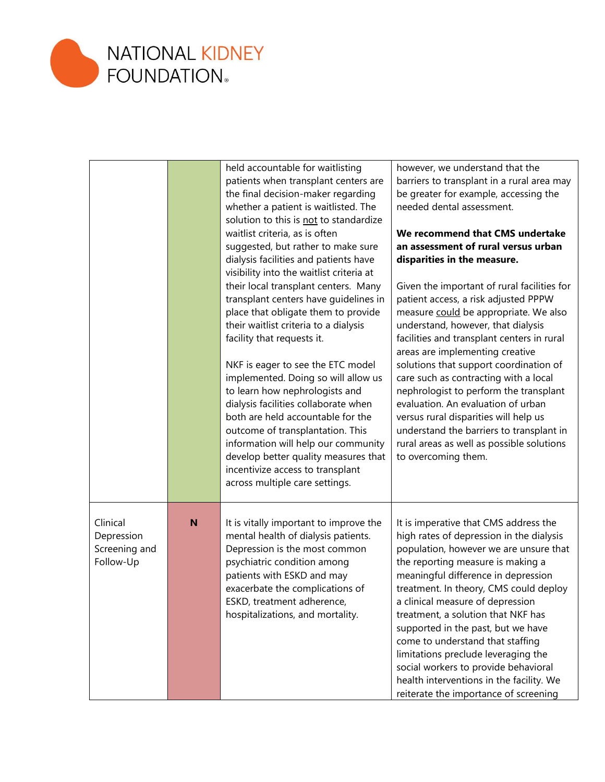

|                                                      |   | held accountable for waitlisting<br>patients when transplant centers are<br>the final decision-maker regarding<br>whether a patient is waitlisted. The<br>solution to this is not to standardize<br>waitlist criteria, as is often<br>suggested, but rather to make sure<br>dialysis facilities and patients have<br>visibility into the waitlist criteria at<br>their local transplant centers. Many<br>transplant centers have guidelines in<br>place that obligate them to provide<br>their waitlist criteria to a dialysis<br>facility that requests it.<br>NKF is eager to see the ETC model<br>implemented. Doing so will allow us<br>to learn how nephrologists and<br>dialysis facilities collaborate when<br>both are held accountable for the<br>outcome of transplantation. This<br>information will help our community<br>develop better quality measures that<br>incentivize access to transplant<br>across multiple care settings. | however, we understand that the<br>barriers to transplant in a rural area may<br>be greater for example, accessing the<br>needed dental assessment.<br>We recommend that CMS undertake<br>an assessment of rural versus urban<br>disparities in the measure.<br>Given the important of rural facilities for<br>patient access, a risk adjusted PPPW<br>measure could be appropriate. We also<br>understand, however, that dialysis<br>facilities and transplant centers in rural<br>areas are implementing creative<br>solutions that support coordination of<br>care such as contracting with a local<br>nephrologist to perform the transplant<br>evaluation. An evaluation of urban<br>versus rural disparities will help us<br>understand the barriers to transplant in<br>rural areas as well as possible solutions<br>to overcoming them. |
|------------------------------------------------------|---|--------------------------------------------------------------------------------------------------------------------------------------------------------------------------------------------------------------------------------------------------------------------------------------------------------------------------------------------------------------------------------------------------------------------------------------------------------------------------------------------------------------------------------------------------------------------------------------------------------------------------------------------------------------------------------------------------------------------------------------------------------------------------------------------------------------------------------------------------------------------------------------------------------------------------------------------------|-------------------------------------------------------------------------------------------------------------------------------------------------------------------------------------------------------------------------------------------------------------------------------------------------------------------------------------------------------------------------------------------------------------------------------------------------------------------------------------------------------------------------------------------------------------------------------------------------------------------------------------------------------------------------------------------------------------------------------------------------------------------------------------------------------------------------------------------------|
| Clinical<br>Depression<br>Screening and<br>Follow-Up | N | It is vitally important to improve the<br>mental health of dialysis patients.<br>Depression is the most common<br>psychiatric condition among<br>patients with ESKD and may<br>exacerbate the complications of<br>ESKD, treatment adherence,<br>hospitalizations, and mortality.                                                                                                                                                                                                                                                                                                                                                                                                                                                                                                                                                                                                                                                                 | It is imperative that CMS address the<br>high rates of depression in the dialysis<br>population, however we are unsure that<br>the reporting measure is making a<br>meaningful difference in depression<br>treatment. In theory, CMS could deploy<br>a clinical measure of depression<br>treatment, a solution that NKF has<br>supported in the past, but we have<br>come to understand that staffing<br>limitations preclude leveraging the<br>social workers to provide behavioral<br>health interventions in the facility. We<br>reiterate the importance of screening                                                                                                                                                                                                                                                                       |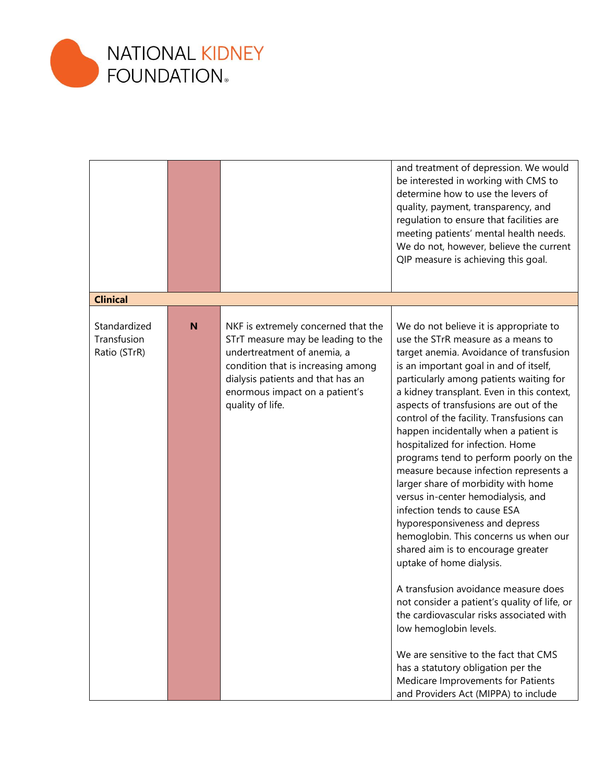

|                                             |   |                                                                                                                                                                                                                                           | and treatment of depression. We would<br>be interested in working with CMS to<br>determine how to use the levers of<br>quality, payment, transparency, and<br>regulation to ensure that facilities are<br>meeting patients' mental health needs.<br>We do not, however, believe the current<br>QIP measure is achieving this goal.                                                                                                                                                                                                                                                                                                                                                                                                                                                                                                                                                                                                                                                                                                                                                                      |
|---------------------------------------------|---|-------------------------------------------------------------------------------------------------------------------------------------------------------------------------------------------------------------------------------------------|---------------------------------------------------------------------------------------------------------------------------------------------------------------------------------------------------------------------------------------------------------------------------------------------------------------------------------------------------------------------------------------------------------------------------------------------------------------------------------------------------------------------------------------------------------------------------------------------------------------------------------------------------------------------------------------------------------------------------------------------------------------------------------------------------------------------------------------------------------------------------------------------------------------------------------------------------------------------------------------------------------------------------------------------------------------------------------------------------------|
| <b>Clinical</b>                             |   |                                                                                                                                                                                                                                           |                                                                                                                                                                                                                                                                                                                                                                                                                                                                                                                                                                                                                                                                                                                                                                                                                                                                                                                                                                                                                                                                                                         |
| Standardized<br>Transfusion<br>Ratio (STrR) | N | NKF is extremely concerned that the<br>STrT measure may be leading to the<br>undertreatment of anemia, a<br>condition that is increasing among<br>dialysis patients and that has an<br>enormous impact on a patient's<br>quality of life. | We do not believe it is appropriate to<br>use the STrR measure as a means to<br>target anemia. Avoidance of transfusion<br>is an important goal in and of itself,<br>particularly among patients waiting for<br>a kidney transplant. Even in this context,<br>aspects of transfusions are out of the<br>control of the facility. Transfusions can<br>happen incidentally when a patient is<br>hospitalized for infection. Home<br>programs tend to perform poorly on the<br>measure because infection represents a<br>larger share of morbidity with home<br>versus in-center hemodialysis, and<br>infection tends to cause ESA<br>hyporesponsiveness and depress<br>hemoglobin. This concerns us when our<br>shared aim is to encourage greater<br>uptake of home dialysis.<br>A transfusion avoidance measure does<br>not consider a patient's quality of life, or<br>the cardiovascular risks associated with<br>low hemoglobin levels.<br>We are sensitive to the fact that CMS<br>has a statutory obligation per the<br>Medicare Improvements for Patients<br>and Providers Act (MIPPA) to include |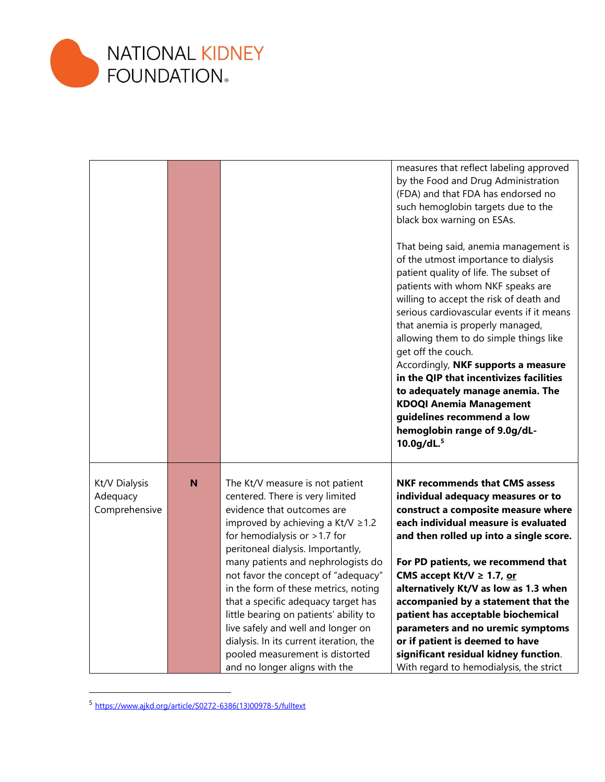

|                                            |   |                                                                                                                                                                                                                                                                                                                                                                                                                                                                                                                                                                              | measures that reflect labeling approved<br>by the Food and Drug Administration<br>(FDA) and that FDA has endorsed no<br>such hemoglobin targets due to the<br>black box warning on ESAs.<br>That being said, anemia management is<br>of the utmost importance to dialysis<br>patient quality of life. The subset of<br>patients with whom NKF speaks are<br>willing to accept the risk of death and<br>serious cardiovascular events if it means<br>that anemia is properly managed,<br>allowing them to do simple things like<br>get off the couch.<br>Accordingly, NKF supports a measure<br>in the QIP that incentivizes facilities<br>to adequately manage anemia. The<br><b>KDOQI Anemia Management</b><br>guidelines recommend a low<br>hemoglobin range of 9.0g/dL-<br>$10.0$ g/dL. $5$ |
|--------------------------------------------|---|------------------------------------------------------------------------------------------------------------------------------------------------------------------------------------------------------------------------------------------------------------------------------------------------------------------------------------------------------------------------------------------------------------------------------------------------------------------------------------------------------------------------------------------------------------------------------|------------------------------------------------------------------------------------------------------------------------------------------------------------------------------------------------------------------------------------------------------------------------------------------------------------------------------------------------------------------------------------------------------------------------------------------------------------------------------------------------------------------------------------------------------------------------------------------------------------------------------------------------------------------------------------------------------------------------------------------------------------------------------------------------|
| Kt/V Dialysis<br>Adequacy<br>Comprehensive | N | The Kt/V measure is not patient<br>centered. There is very limited<br>evidence that outcomes are<br>improved by achieving a Kt/V $\ge$ 1.2<br>for hemodialysis or $>1.7$ for<br>peritoneal dialysis. Importantly,<br>many patients and nephrologists do<br>not favor the concept of "adequacy"<br>in the form of these metrics, noting<br>that a specific adequacy target has<br>little bearing on patients' ability to<br>live safely and well and longer on<br>dialysis. In its current iteration, the<br>pooled measurement is distorted<br>and no longer aligns with the | <b>NKF recommends that CMS assess</b><br>individual adequacy measures or to<br>construct a composite measure where<br>each individual measure is evaluated<br>and then rolled up into a single score.<br>For PD patients, we recommend that<br>CMS accept Kt/V $\geq$ 1.7, or<br>alternatively Kt/V as low as 1.3 when<br>accompanied by a statement that the<br>patient has acceptable biochemical<br>parameters and no uremic symptoms<br>or if patient is deemed to have<br>significant residual kidney function.<br>With regard to hemodialysis, the strict                                                                                                                                                                                                                                |

<sup>5</sup> [https://www.ajkd.org/article/S0272-6386\(13\)00978-5/fulltext](https://www.ajkd.org/article/S0272-6386(13)00978-5/fulltext)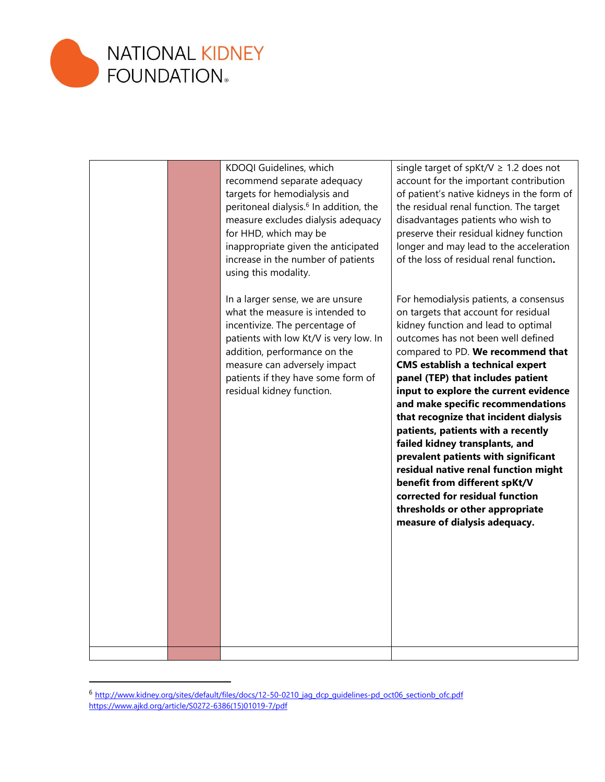

| KDOQI Guidelines, which<br>recommend separate adequacy<br>targets for hemodialysis and<br>peritoneal dialysis. <sup>6</sup> In addition, the<br>measure excludes dialysis adequacy<br>for HHD, which may be<br>inappropriate given the anticipated<br>increase in the number of patients<br>using this modality. | single target of spKt/V $\geq$ 1.2 does not<br>account for the important contribution<br>of patient's native kidneys in the form of<br>the residual renal function. The target<br>disadvantages patients who wish to<br>preserve their residual kidney function<br>longer and may lead to the acceleration<br>of the loss of residual renal function.                                                                                                                                                                                                                                                                                                                                                  |
|------------------------------------------------------------------------------------------------------------------------------------------------------------------------------------------------------------------------------------------------------------------------------------------------------------------|--------------------------------------------------------------------------------------------------------------------------------------------------------------------------------------------------------------------------------------------------------------------------------------------------------------------------------------------------------------------------------------------------------------------------------------------------------------------------------------------------------------------------------------------------------------------------------------------------------------------------------------------------------------------------------------------------------|
| In a larger sense, we are unsure<br>what the measure is intended to<br>incentivize. The percentage of<br>patients with low Kt/V is very low. In<br>addition, performance on the<br>measure can adversely impact<br>patients if they have some form of<br>residual kidney function.                               | For hemodialysis patients, a consensus<br>on targets that account for residual<br>kidney function and lead to optimal<br>outcomes has not been well defined<br>compared to PD. We recommend that<br><b>CMS establish a technical expert</b><br>panel (TEP) that includes patient<br>input to explore the current evidence<br>and make specific recommendations<br>that recognize that incident dialysis<br>patients, patients with a recently<br>failed kidney transplants, and<br>prevalent patients with significant<br>residual native renal function might<br>benefit from different spKt/V<br>corrected for residual function<br>thresholds or other appropriate<br>measure of dialysis adequacy. |
|                                                                                                                                                                                                                                                                                                                  |                                                                                                                                                                                                                                                                                                                                                                                                                                                                                                                                                                                                                                                                                                        |

<sup>&</sup>lt;sup>6</sup> http://www.kidney.org/sites/default/files/docs/12-50-0210 jag\_dcp\_guidelines-pd\_oct06\_sectionb\_ofc.pdf [https://www.ajkd.org/article/S0272-6386\(15\)01019-7/pdf](https://www.ajkd.org/article/S0272-6386(15)01019-7/pdf)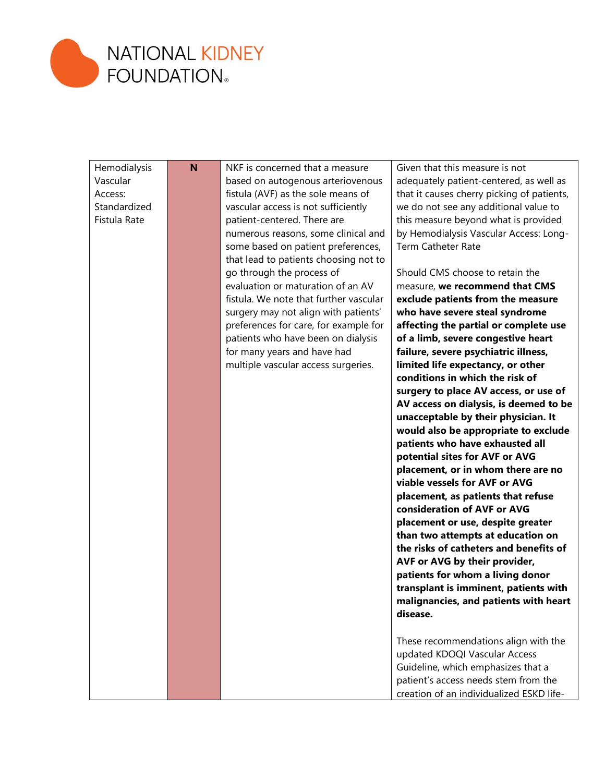

| Hemodialysis<br>Vascular<br>Access:<br>Standardized<br>Fistula Rate | N | NKF is concerned that a measure<br>based on autogenous arteriovenous<br>fistula (AVF) as the sole means of<br>vascular access is not sufficiently<br>patient-centered. There are | Given that this measure is not<br>adequately patient-centered, as well as<br>that it causes cherry picking of patients,<br>we do not see any additional value to<br>this measure beyond what is provided |
|---------------------------------------------------------------------|---|----------------------------------------------------------------------------------------------------------------------------------------------------------------------------------|----------------------------------------------------------------------------------------------------------------------------------------------------------------------------------------------------------|
|                                                                     |   | numerous reasons, some clinical and<br>some based on patient preferences,<br>that lead to patients choosing not to                                                               | by Hemodialysis Vascular Access: Long-<br><b>Term Catheter Rate</b>                                                                                                                                      |
|                                                                     |   | go through the process of<br>evaluation or maturation of an AV                                                                                                                   | Should CMS choose to retain the<br>measure, we recommend that CMS                                                                                                                                        |
|                                                                     |   | fistula. We note that further vascular                                                                                                                                           | exclude patients from the measure                                                                                                                                                                        |
|                                                                     |   | surgery may not align with patients'                                                                                                                                             | who have severe steal syndrome                                                                                                                                                                           |
|                                                                     |   | preferences for care, for example for                                                                                                                                            | affecting the partial or complete use                                                                                                                                                                    |
|                                                                     |   | patients who have been on dialysis                                                                                                                                               | of a limb, severe congestive heart                                                                                                                                                                       |
|                                                                     |   | for many years and have had<br>multiple vascular access surgeries.                                                                                                               | failure, severe psychiatric illness,<br>limited life expectancy, or other                                                                                                                                |
|                                                                     |   |                                                                                                                                                                                  | conditions in which the risk of                                                                                                                                                                          |
|                                                                     |   |                                                                                                                                                                                  | surgery to place AV access, or use of                                                                                                                                                                    |
|                                                                     |   |                                                                                                                                                                                  | AV access on dialysis, is deemed to be                                                                                                                                                                   |
|                                                                     |   |                                                                                                                                                                                  | unacceptable by their physician. It                                                                                                                                                                      |
|                                                                     |   |                                                                                                                                                                                  | would also be appropriate to exclude                                                                                                                                                                     |
|                                                                     |   |                                                                                                                                                                                  | patients who have exhausted all                                                                                                                                                                          |
|                                                                     |   |                                                                                                                                                                                  | potential sites for AVF or AVG                                                                                                                                                                           |
|                                                                     |   |                                                                                                                                                                                  | placement, or in whom there are no<br>viable vessels for AVF or AVG                                                                                                                                      |
|                                                                     |   |                                                                                                                                                                                  | placement, as patients that refuse                                                                                                                                                                       |
|                                                                     |   |                                                                                                                                                                                  | consideration of AVF or AVG                                                                                                                                                                              |
|                                                                     |   |                                                                                                                                                                                  | placement or use, despite greater                                                                                                                                                                        |
|                                                                     |   |                                                                                                                                                                                  | than two attempts at education on                                                                                                                                                                        |
|                                                                     |   |                                                                                                                                                                                  | the risks of catheters and benefits of                                                                                                                                                                   |
|                                                                     |   |                                                                                                                                                                                  | AVF or AVG by their provider,                                                                                                                                                                            |
|                                                                     |   |                                                                                                                                                                                  | patients for whom a living donor                                                                                                                                                                         |
|                                                                     |   |                                                                                                                                                                                  | transplant is imminent, patients with                                                                                                                                                                    |
|                                                                     |   |                                                                                                                                                                                  | malignancies, and patients with heart<br>disease.                                                                                                                                                        |
|                                                                     |   |                                                                                                                                                                                  |                                                                                                                                                                                                          |
|                                                                     |   |                                                                                                                                                                                  | These recommendations align with the                                                                                                                                                                     |
|                                                                     |   |                                                                                                                                                                                  | updated KDOQI Vascular Access                                                                                                                                                                            |
|                                                                     |   |                                                                                                                                                                                  | Guideline, which emphasizes that a                                                                                                                                                                       |
|                                                                     |   |                                                                                                                                                                                  | patient's access needs stem from the                                                                                                                                                                     |
|                                                                     |   |                                                                                                                                                                                  | creation of an individualized ESKD life-                                                                                                                                                                 |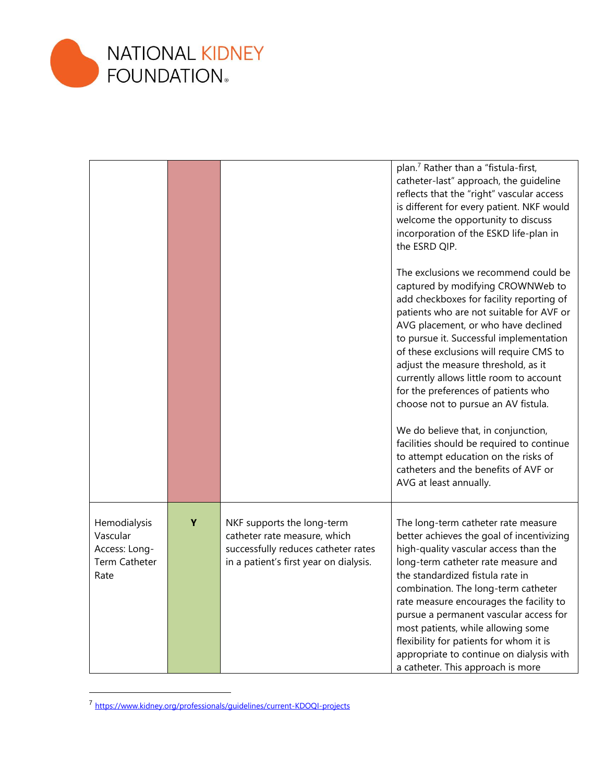

|                                                                    |   |                                                                                                                                             | plan. <sup>7</sup> Rather than a "fistula-first,<br>catheter-last" approach, the quideline<br>reflects that the "right" vascular access<br>is different for every patient. NKF would<br>welcome the opportunity to discuss<br>incorporation of the ESKD life-plan in<br>the ESRD QIP.                                                                                                                                                                                                                                                                                                                                                                        |
|--------------------------------------------------------------------|---|---------------------------------------------------------------------------------------------------------------------------------------------|--------------------------------------------------------------------------------------------------------------------------------------------------------------------------------------------------------------------------------------------------------------------------------------------------------------------------------------------------------------------------------------------------------------------------------------------------------------------------------------------------------------------------------------------------------------------------------------------------------------------------------------------------------------|
|                                                                    |   |                                                                                                                                             | The exclusions we recommend could be<br>captured by modifying CROWNWeb to<br>add checkboxes for facility reporting of<br>patients who are not suitable for AVF or<br>AVG placement, or who have declined<br>to pursue it. Successful implementation<br>of these exclusions will require CMS to<br>adjust the measure threshold, as it<br>currently allows little room to account<br>for the preferences of patients who<br>choose not to pursue an AV fistula.<br>We do believe that, in conjunction,<br>facilities should be required to continue<br>to attempt education on the risks of<br>catheters and the benefits of AVF or<br>AVG at least annually. |
| Hemodialysis<br>Vascular<br>Access: Long-<br>Term Catheter<br>Rate | Y | NKF supports the long-term<br>catheter rate measure, which<br>successfully reduces catheter rates<br>in a patient's first year on dialysis. | The long-term catheter rate measure<br>better achieves the goal of incentivizing<br>high-quality vascular access than the<br>long-term catheter rate measure and<br>the standardized fistula rate in<br>combination. The long-term catheter<br>rate measure encourages the facility to<br>pursue a permanent vascular access for<br>most patients, while allowing some<br>flexibility for patients for whom it is<br>appropriate to continue on dialysis with<br>a catheter. This approach is more                                                                                                                                                           |

<sup>7</sup> <https://www.kidney.org/professionals/guidelines/current-KDOQI-projects>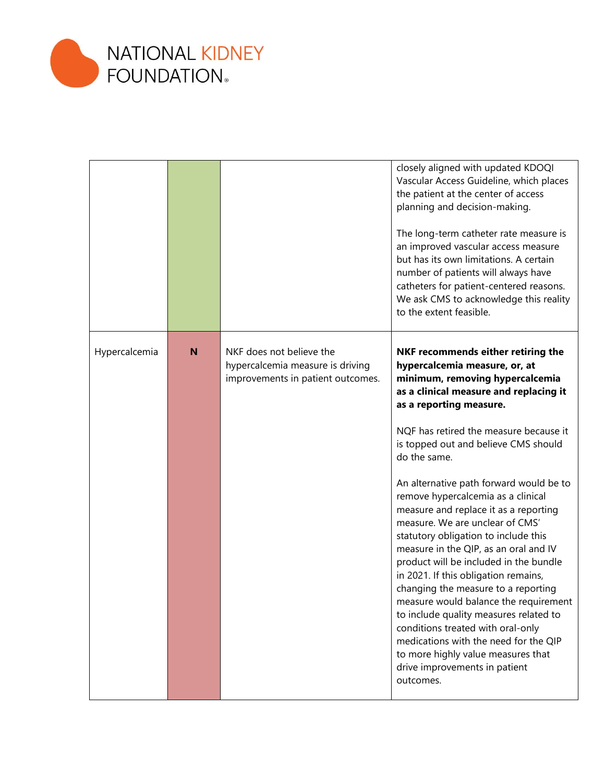

|               |   |                                                                                                   | closely aligned with updated KDOQI<br>Vascular Access Guideline, which places<br>the patient at the center of access<br>planning and decision-making.                                                                                                                                                                                                                                                                                                                                                                                                                                                                    |
|---------------|---|---------------------------------------------------------------------------------------------------|--------------------------------------------------------------------------------------------------------------------------------------------------------------------------------------------------------------------------------------------------------------------------------------------------------------------------------------------------------------------------------------------------------------------------------------------------------------------------------------------------------------------------------------------------------------------------------------------------------------------------|
|               |   |                                                                                                   | The long-term catheter rate measure is<br>an improved vascular access measure<br>but has its own limitations. A certain<br>number of patients will always have<br>catheters for patient-centered reasons.<br>We ask CMS to acknowledge this reality<br>to the extent feasible.                                                                                                                                                                                                                                                                                                                                           |
| Hypercalcemia | N | NKF does not believe the<br>hypercalcemia measure is driving<br>improvements in patient outcomes. | NKF recommends either retiring the<br>hypercalcemia measure, or, at<br>minimum, removing hypercalcemia<br>as a clinical measure and replacing it<br>as a reporting measure.                                                                                                                                                                                                                                                                                                                                                                                                                                              |
|               |   |                                                                                                   | NQF has retired the measure because it<br>is topped out and believe CMS should<br>do the same.                                                                                                                                                                                                                                                                                                                                                                                                                                                                                                                           |
|               |   |                                                                                                   | An alternative path forward would be to<br>remove hypercalcemia as a clinical<br>measure and replace it as a reporting<br>measure. We are unclear of CMS'<br>statutory obligation to include this<br>measure in the QIP, as an oral and IV<br>product will be included in the bundle<br>in 2021. If this obligation remains,<br>changing the measure to a reporting<br>measure would balance the requirement<br>to include quality measures related to<br>conditions treated with oral-only<br>medications with the need for the QIP<br>to more highly value measures that<br>drive improvements in patient<br>outcomes. |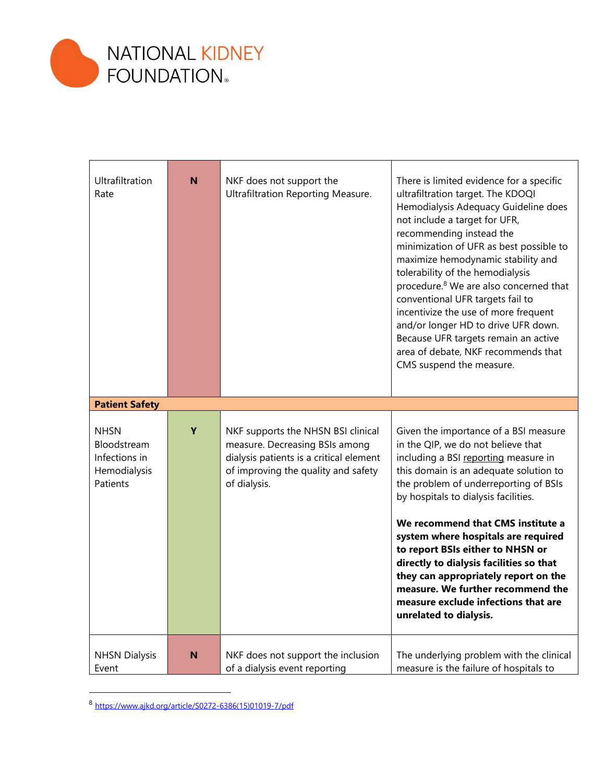

| Ultrafiltration<br>Rate                                                 | N | NKF does not support the<br>Ultrafiltration Reporting Measure.                                                                                                         | There is limited evidence for a specific<br>ultrafiltration target. The KDOQI<br>Hemodialysis Adequacy Guideline does<br>not include a target for UFR,<br>recommending instead the<br>minimization of UFR as best possible to<br>maximize hemodynamic stability and<br>tolerability of the hemodialysis<br>procedure. <sup>8</sup> We are also concerned that<br>conventional UFR targets fail to<br>incentivize the use of more frequent<br>and/or longer HD to drive UFR down.<br>Because UFR targets remain an active<br>area of debate, NKF recommends that<br>CMS suspend the measure. |
|-------------------------------------------------------------------------|---|------------------------------------------------------------------------------------------------------------------------------------------------------------------------|---------------------------------------------------------------------------------------------------------------------------------------------------------------------------------------------------------------------------------------------------------------------------------------------------------------------------------------------------------------------------------------------------------------------------------------------------------------------------------------------------------------------------------------------------------------------------------------------|
| <b>Patient Safety</b>                                                   |   |                                                                                                                                                                        |                                                                                                                                                                                                                                                                                                                                                                                                                                                                                                                                                                                             |
| <b>NHSN</b><br>Bloodstream<br>Infections in<br>Hemodialysis<br>Patients | Y | NKF supports the NHSN BSI clinical<br>measure. Decreasing BSIs among<br>dialysis patients is a critical element<br>of improving the quality and safety<br>of dialysis. | Given the importance of a BSI measure<br>in the QIP, we do not believe that<br>including a BSI reporting measure in<br>this domain is an adequate solution to<br>the problem of underreporting of BSIs<br>by hospitals to dialysis facilities.<br>We recommend that CMS institute a<br>system where hospitals are required<br>to report BSIs either to NHSN or<br>directly to dialysis facilities so that<br>they can appropriately report on the<br>measure. We further recommend the<br>measure exclude infections that are<br>unrelated to dialysis.                                     |
| <b>NHSN Dialysis</b><br>Event                                           | N | NKF does not support the inclusion<br>of a dialysis event reporting                                                                                                    | The underlying problem with the clinical<br>measure is the failure of hospitals to                                                                                                                                                                                                                                                                                                                                                                                                                                                                                                          |

<sup>8</sup> [https://www.ajkd.org/article/S0272-6386\(15\)01019-7/pdf](https://www.ajkd.org/article/S0272-6386(15)01019-7/pdf)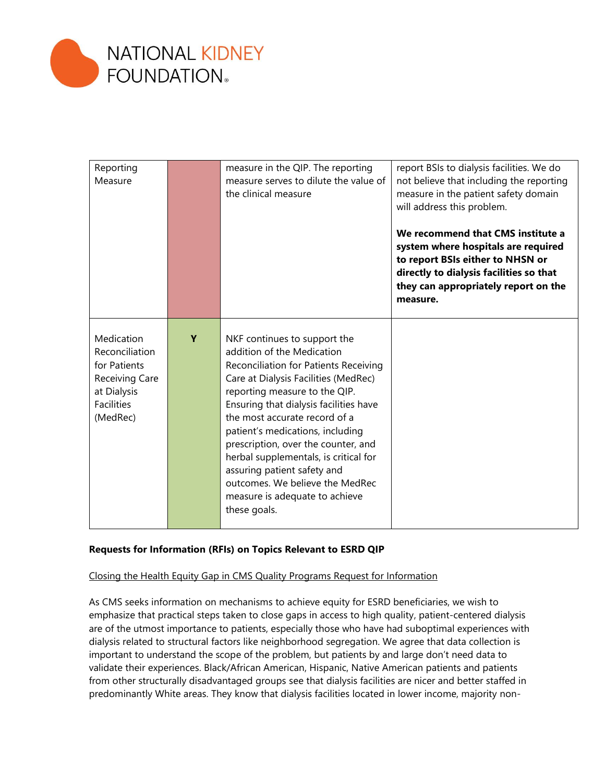

| Reporting<br>Measure                                                                                           |   | measure in the QIP. The reporting<br>measure serves to dilute the value of<br>the clinical measure                                                                                                                                                                                                                                                                                                                                                                                              | report BSIs to dialysis facilities. We do<br>not believe that including the reporting<br>measure in the patient safety domain<br>will address this problem.<br>We recommend that CMS institute a<br>system where hospitals are required<br>to report BSIs either to NHSN or<br>directly to dialysis facilities so that<br>they can appropriately report on the<br>measure. |
|----------------------------------------------------------------------------------------------------------------|---|-------------------------------------------------------------------------------------------------------------------------------------------------------------------------------------------------------------------------------------------------------------------------------------------------------------------------------------------------------------------------------------------------------------------------------------------------------------------------------------------------|----------------------------------------------------------------------------------------------------------------------------------------------------------------------------------------------------------------------------------------------------------------------------------------------------------------------------------------------------------------------------|
| Medication<br>Reconciliation<br>for Patients<br>Receiving Care<br>at Dialysis<br><b>Facilities</b><br>(MedRec) | Y | NKF continues to support the<br>addition of the Medication<br>Reconciliation for Patients Receiving<br>Care at Dialysis Facilities (MedRec)<br>reporting measure to the QIP.<br>Ensuring that dialysis facilities have<br>the most accurate record of a<br>patient's medications, including<br>prescription, over the counter, and<br>herbal supplementals, is critical for<br>assuring patient safety and<br>outcomes. We believe the MedRec<br>measure is adequate to achieve<br>these goals. |                                                                                                                                                                                                                                                                                                                                                                            |

# **Requests for Information (RFIs) on Topics Relevant to ESRD QIP**

# Closing the Health Equity Gap in CMS Quality Programs Request for Information

As CMS seeks information on mechanisms to achieve equity for ESRD beneficiaries, we wish to emphasize that practical steps taken to close gaps in access to high quality, patient-centered dialysis are of the utmost importance to patients, especially those who have had suboptimal experiences with dialysis related to structural factors like neighborhood segregation. We agree that data collection is important to understand the scope of the problem, but patients by and large don't need data to validate their experiences. Black/African American, Hispanic, Native American patients and patients from other structurally disadvantaged groups see that dialysis facilities are nicer and better staffed in predominantly White areas. They know that dialysis facilities located in lower income, majority non-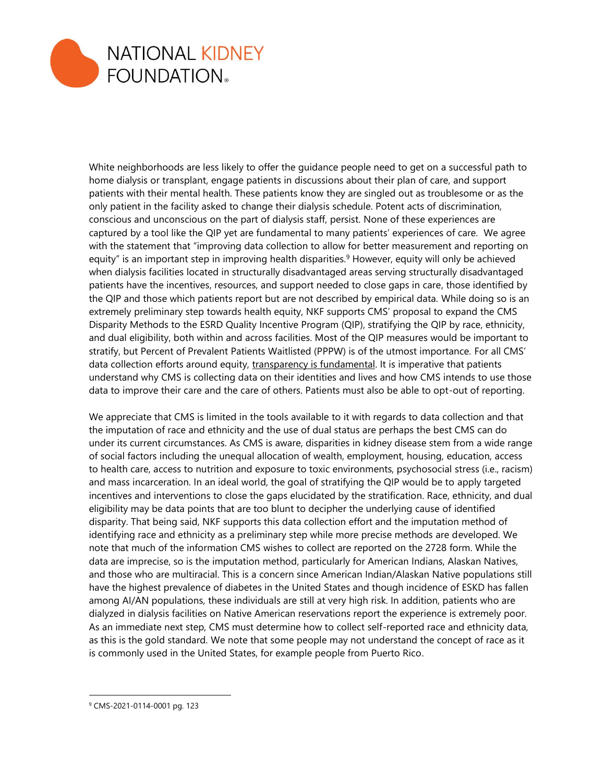

White neighborhoods are less likely to offer the guidance people need to get on a successful path to home dialysis or transplant, engage patients in discussions about their plan of care, and support patients with their mental health. These patients know they are singled out as troublesome or as the only patient in the facility asked to change their dialysis schedule. Potent acts of discrimination, conscious and unconscious on the part of dialysis staff, persist. None of these experiences are captured by a tool like the QIP yet are fundamental to many patients' experiences of care. We agree with the statement that "improving data collection to allow for better measurement and reporting on equity" is an important step in improving health disparities.<sup>9</sup> However, equity will only be achieved when dialysis facilities located in structurally disadvantaged areas serving structurally disadvantaged patients have the incentives, resources, and support needed to close gaps in care, those identified by the QIP and those which patients report but are not described by empirical data. While doing so is an extremely preliminary step towards health equity, NKF supports CMS' proposal to expand the CMS Disparity Methods to the ESRD Quality Incentive Program (QIP), stratifying the QIP by race, ethnicity, and dual eligibility, both within and across facilities. Most of the QIP measures would be important to stratify, but Percent of Prevalent Patients Waitlisted (PPPW) is of the utmost importance. For all CMS' data collection efforts around equity, transparency is fundamental. It is imperative that patients understand why CMS is collecting data on their identities and lives and how CMS intends to use those data to improve their care and the care of others. Patients must also be able to opt-out of reporting.

We appreciate that CMS is limited in the tools available to it with regards to data collection and that the imputation of race and ethnicity and the use of dual status are perhaps the best CMS can do under its current circumstances. As CMS is aware, disparities in kidney disease stem from a wide range of social factors including the unequal allocation of wealth, employment, housing, education, access to health care, access to nutrition and exposure to toxic environments, psychosocial stress (i.e., racism) and mass incarceration. In an ideal world, the goal of stratifying the QIP would be to apply targeted incentives and interventions to close the gaps elucidated by the stratification. Race, ethnicity, and dual eligibility may be data points that are too blunt to decipher the underlying cause of identified disparity. That being said, NKF supports this data collection effort and the imputation method of identifying race and ethnicity as a preliminary step while more precise methods are developed. We note that much of the information CMS wishes to collect are reported on the 2728 form. While the data are imprecise, so is the imputation method, particularly for American Indians, Alaskan Natives, and those who are multiracial. This is a concern since American Indian/Alaskan Native populations still have the highest prevalence of diabetes in the United States and though incidence of ESKD has fallen among AI/AN populations, these individuals are still at very high risk. In addition, patients who are dialyzed in dialysis facilities on Native American reservations report the experience is extremely poor. As an immediate next step, CMS must determine how to collect self-reported race and ethnicity data, as this is the gold standard. We note that some people may not understand the concept of race as it is commonly used in the United States, for example people from Puerto Rico.

<sup>9</sup> CMS-2021-0114-0001 pg. 123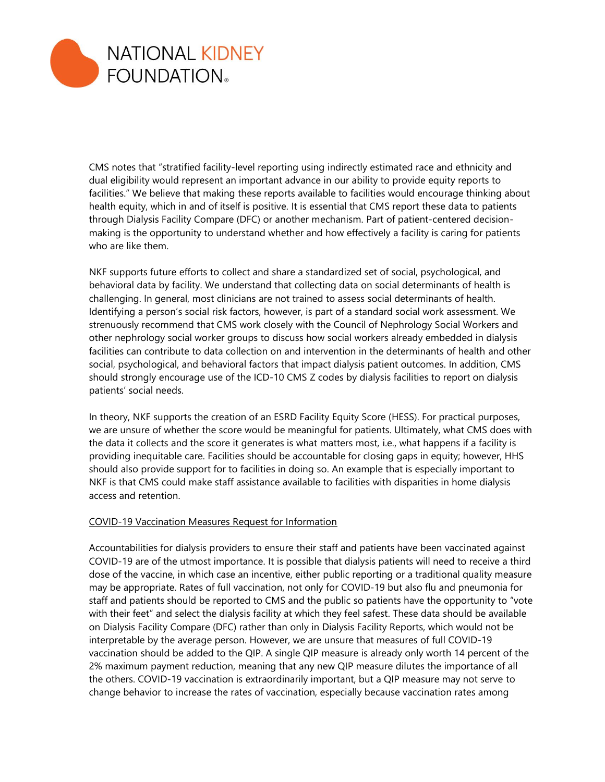

CMS notes that "stratified facility-level reporting using indirectly estimated race and ethnicity and dual eligibility would represent an important advance in our ability to provide equity reports to facilities." We believe that making these reports available to facilities would encourage thinking about health equity, which in and of itself is positive. It is essential that CMS report these data to patients through Dialysis Facility Compare (DFC) or another mechanism. Part of patient-centered decisionmaking is the opportunity to understand whether and how effectively a facility is caring for patients who are like them.

NKF supports future efforts to collect and share a standardized set of social, psychological, and behavioral data by facility. We understand that collecting data on social determinants of health is challenging. In general, most clinicians are not trained to assess social determinants of health. Identifying a person's social risk factors, however, is part of a standard social work assessment. We strenuously recommend that CMS work closely with the Council of Nephrology Social Workers and other nephrology social worker groups to discuss how social workers already embedded in dialysis facilities can contribute to data collection on and intervention in the determinants of health and other social, psychological, and behavioral factors that impact dialysis patient outcomes. In addition, CMS should strongly encourage use of the ICD-10 CMS Z codes by dialysis facilities to report on dialysis patients' social needs.

In theory, NKF supports the creation of an ESRD Facility Equity Score (HESS). For practical purposes, we are unsure of whether the score would be meaningful for patients. Ultimately, what CMS does with the data it collects and the score it generates is what matters most, i.e., what happens if a facility is providing inequitable care. Facilities should be accountable for closing gaps in equity; however, HHS should also provide support for to facilities in doing so. An example that is especially important to NKF is that CMS could make staff assistance available to facilities with disparities in home dialysis access and retention.

# COVID-19 Vaccination Measures Request for Information

Accountabilities for dialysis providers to ensure their staff and patients have been vaccinated against COVID-19 are of the utmost importance. It is possible that dialysis patients will need to receive a third dose of the vaccine, in which case an incentive, either public reporting or a traditional quality measure may be appropriate. Rates of full vaccination, not only for COVID-19 but also flu and pneumonia for staff and patients should be reported to CMS and the public so patients have the opportunity to "vote with their feet" and select the dialysis facility at which they feel safest. These data should be available on Dialysis Facility Compare (DFC) rather than only in Dialysis Facility Reports, which would not be interpretable by the average person. However, we are unsure that measures of full COVID-19 vaccination should be added to the QIP. A single QIP measure is already only worth 14 percent of the 2% maximum payment reduction, meaning that any new QIP measure dilutes the importance of all the others. COVID-19 vaccination is extraordinarily important, but a QIP measure may not serve to change behavior to increase the rates of vaccination, especially because vaccination rates among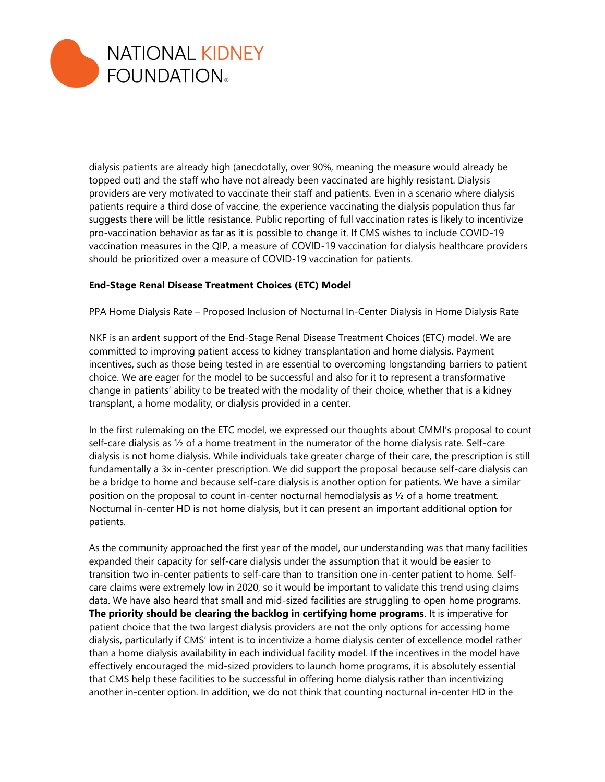

dialysis patients are already high (anecdotally, over 90%, meaning the measure would already be topped out) and the staff who have not already been vaccinated are highly resistant. Dialysis providers are very motivated to vaccinate their staff and patients. Even in a scenario where dialysis patients require a third dose of vaccine, the experience vaccinating the dialysis population thus far suggests there will be little resistance. Public reporting of full vaccination rates is likely to incentivize pro-vaccination behavior as far as it is possible to change it. If CMS wishes to include COVID-19 vaccination measures in the QIP, a measure of COVID-19 vaccination for dialysis healthcare providers should be prioritized over a measure of COVID-19 vaccination for patients.

# **End-Stage Renal Disease Treatment Choices (ETC) Model**

#### PPA Home Dialysis Rate – Proposed Inclusion of Nocturnal In-Center Dialysis in Home Dialysis Rate

NKF is an ardent support of the End-Stage Renal Disease Treatment Choices (ETC) model. We are committed to improving patient access to kidney transplantation and home dialysis. Payment incentives, such as those being tested in are essential to overcoming longstanding barriers to patient choice. We are eager for the model to be successful and also for it to represent a transformative change in patients' ability to be treated with the modality of their choice, whether that is a kidney transplant, a home modality, or dialysis provided in a center.

In the first rulemaking on the ETC model, we expressed our thoughts about CMMI's proposal to count self-care dialysis as  $\frac{1}{2}$  of a home treatment in the numerator of the home dialysis rate. Self-care dialysis is not home dialysis. While individuals take greater charge of their care, the prescription is still fundamentally a 3x in-center prescription. We did support the proposal because self-care dialysis can be a bridge to home and because self-care dialysis is another option for patients. We have a similar position on the proposal to count in-center nocturnal hemodialysis as ½ of a home treatment. Nocturnal in-center HD is not home dialysis, but it can present an important additional option for patients.

As the community approached the first year of the model, our understanding was that many facilities expanded their capacity for self-care dialysis under the assumption that it would be easier to transition two in-center patients to self-care than to transition one in-center patient to home. Selfcare claims were extremely low in 2020, so it would be important to validate this trend using claims data. We have also heard that small and mid-sized facilities are struggling to open home programs. **The priority should be clearing the backlog in certifying home programs**. It is imperative for patient choice that the two largest dialysis providers are not the only options for accessing home dialysis, particularly if CMS' intent is to incentivize a home dialysis center of excellence model rather than a home dialysis availability in each individual facility model. If the incentives in the model have effectively encouraged the mid-sized providers to launch home programs, it is absolutely essential that CMS help these facilities to be successful in offering home dialysis rather than incentivizing another in-center option. In addition, we do not think that counting nocturnal in-center HD in the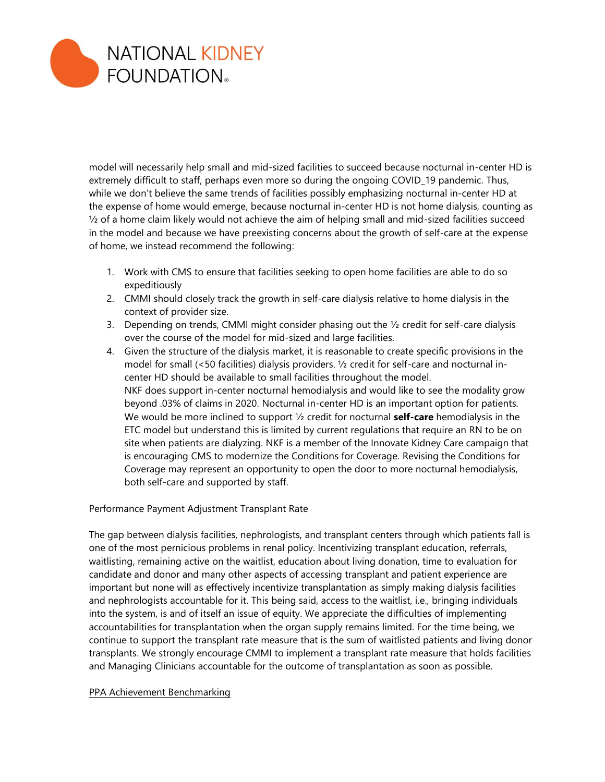

model will necessarily help small and mid-sized facilities to succeed because nocturnal in-center HD is extremely difficult to staff, perhaps even more so during the ongoing COVID 19 pandemic. Thus, while we don't believe the same trends of facilities possibly emphasizing nocturnal in-center HD at the expense of home would emerge, because nocturnal in-center HD is not home dialysis, counting as  $\frac{1}{2}$  of a home claim likely would not achieve the aim of helping small and mid-sized facilities succeed in the model and because we have preexisting concerns about the growth of self-care at the expense of home, we instead recommend the following:

- 1. Work with CMS to ensure that facilities seeking to open home facilities are able to do so expeditiously
- 2. CMMI should closely track the growth in self-care dialysis relative to home dialysis in the context of provider size.
- 3. Depending on trends, CMMI might consider phasing out the  $\frac{1}{2}$  credit for self-care dialysis over the course of the model for mid-sized and large facilities.
- 4. Given the structure of the dialysis market, it is reasonable to create specific provisions in the model for small (<50 facilities) dialysis providers. ½ credit for self-care and nocturnal incenter HD should be available to small facilities throughout the model. NKF does support in-center nocturnal hemodialysis and would like to see the modality grow beyond .03% of claims in 2020. Nocturnal in-center HD is an important option for patients. We would be more inclined to support ½ credit for nocturnal **self-care** hemodialysis in the ETC model but understand this is limited by current regulations that require an RN to be on site when patients are dialyzing. NKF is a member of the Innovate Kidney Care campaign that is encouraging CMS to modernize the Conditions for Coverage. Revising the Conditions for Coverage may represent an opportunity to open the door to more nocturnal hemodialysis, both self-care and supported by staff.

Performance Payment Adjustment Transplant Rate

The gap between dialysis facilities, nephrologists, and transplant centers through which patients fall is one of the most pernicious problems in renal policy. Incentivizing transplant education, referrals, waitlisting, remaining active on the waitlist, education about living donation, time to evaluation for candidate and donor and many other aspects of accessing transplant and patient experience are important but none will as effectively incentivize transplantation as simply making dialysis facilities and nephrologists accountable for it. This being said, access to the waitlist, i.e., bringing individuals into the system, is and of itself an issue of equity. We appreciate the difficulties of implementing accountabilities for transplantation when the organ supply remains limited. For the time being, we continue to support the transplant rate measure that is the sum of waitlisted patients and living donor transplants. We strongly encourage CMMI to implement a transplant rate measure that holds facilities and Managing Clinicians accountable for the outcome of transplantation as soon as possible.

#### PPA Achievement Benchmarking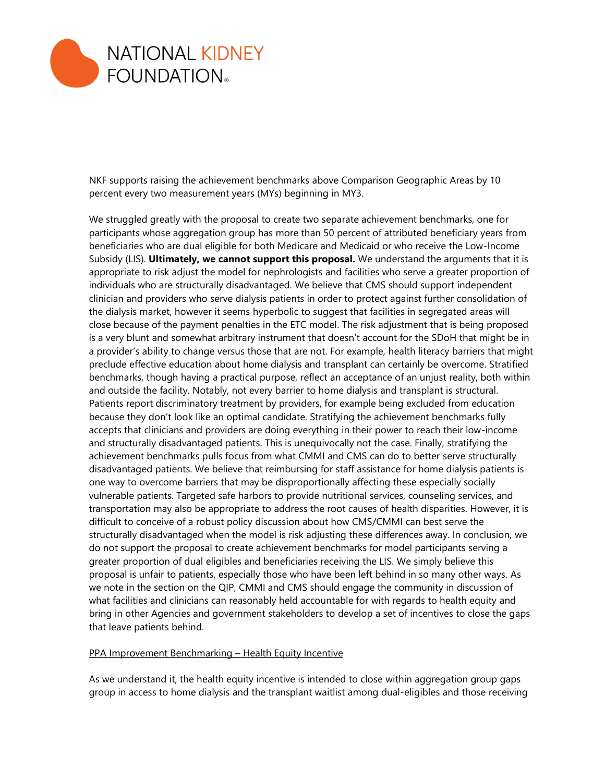

NKF supports raising the achievement benchmarks above Comparison Geographic Areas by 10 percent every two measurement years (MYs) beginning in MY3.

We struggled greatly with the proposal to create two separate achievement benchmarks, one for participants whose aggregation group has more than 50 percent of attributed beneficiary years from beneficiaries who are dual eligible for both Medicare and Medicaid or who receive the Low-Income Subsidy (LIS). **Ultimately, we cannot support this proposal.** We understand the arguments that it is appropriate to risk adjust the model for nephrologists and facilities who serve a greater proportion of individuals who are structurally disadvantaged. We believe that CMS should support independent clinician and providers who serve dialysis patients in order to protect against further consolidation of the dialysis market, however it seems hyperbolic to suggest that facilities in segregated areas will close because of the payment penalties in the ETC model. The risk adjustment that is being proposed is a very blunt and somewhat arbitrary instrument that doesn't account for the SDoH that might be in a provider's ability to change versus those that are not. For example, health literacy barriers that might preclude effective education about home dialysis and transplant can certainly be overcome. Stratified benchmarks, though having a practical purpose, reflect an acceptance of an unjust reality, both within and outside the facility. Notably, not every barrier to home dialysis and transplant is structural. Patients report discriminatory treatment by providers, for example being excluded from education because they don't look like an optimal candidate. Stratifying the achievement benchmarks fully accepts that clinicians and providers are doing everything in their power to reach their low-income and structurally disadvantaged patients. This is unequivocally not the case. Finally, stratifying the achievement benchmarks pulls focus from what CMMI and CMS can do to better serve structurally disadvantaged patients. We believe that reimbursing for staff assistance for home dialysis patients is one way to overcome barriers that may be disproportionally affecting these especially socially vulnerable patients. Targeted safe harbors to provide nutritional services, counseling services, and transportation may also be appropriate to address the root causes of health disparities. However, it is difficult to conceive of a robust policy discussion about how CMS/CMMI can best serve the structurally disadvantaged when the model is risk adjusting these differences away. In conclusion, we do not support the proposal to create achievement benchmarks for model participants serving a greater proportion of dual eligibles and beneficiaries receiving the LIS. We simply believe this proposal is unfair to patients, especially those who have been left behind in so many other ways. As we note in the section on the QIP, CMMI and CMS should engage the community in discussion of what facilities and clinicians can reasonably held accountable for with regards to health equity and bring in other Agencies and government stakeholders to develop a set of incentives to close the gaps that leave patients behind.

#### PPA Improvement Benchmarking – Health Equity Incentive

As we understand it, the health equity incentive is intended to close within aggregation group gaps group in access to home dialysis and the transplant waitlist among dual-eligibles and those receiving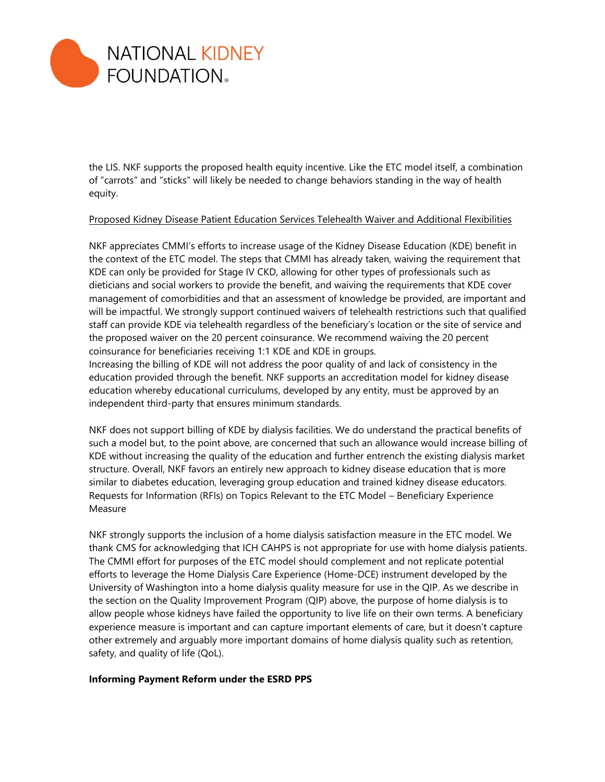

the LIS. NKF supports the proposed health equity incentive. Like the ETC model itself, a combination of "carrots" and "sticks" will likely be needed to change behaviors standing in the way of health equity.

#### Proposed Kidney Disease Patient Education Services Telehealth Waiver and Additional Flexibilities

NKF appreciates CMMI's efforts to increase usage of the Kidney Disease Education (KDE) benefit in the context of the ETC model. The steps that CMMI has already taken, waiving the requirement that KDE can only be provided for Stage IV CKD, allowing for other types of professionals such as dieticians and social workers to provide the benefit, and waiving the requirements that KDE cover management of comorbidities and that an assessment of knowledge be provided, are important and will be impactful. We strongly support continued waivers of telehealth restrictions such that qualified staff can provide KDE via telehealth regardless of the beneficiary's location or the site of service and the proposed waiver on the 20 percent coinsurance. We recommend waiving the 20 percent coinsurance for beneficiaries receiving 1:1 KDE and KDE in groups.

Increasing the billing of KDE will not address the poor quality of and lack of consistency in the education provided through the benefit. NKF supports an accreditation model for kidney disease education whereby educational curriculums, developed by any entity, must be approved by an independent third-party that ensures minimum standards.

NKF does not support billing of KDE by dialysis facilities. We do understand the practical benefits of such a model but, to the point above, are concerned that such an allowance would increase billing of KDE without increasing the quality of the education and further entrench the existing dialysis market structure. Overall, NKF favors an entirely new approach to kidney disease education that is more similar to diabetes education, leveraging group education and trained kidney disease educators. Requests for Information (RFIs) on Topics Relevant to the ETC Model – Beneficiary Experience Measure

NKF strongly supports the inclusion of a home dialysis satisfaction measure in the ETC model. We thank CMS for acknowledging that ICH CAHPS is not appropriate for use with home dialysis patients. The CMMI effort for purposes of the ETC model should complement and not replicate potential efforts to leverage the Home Dialysis Care Experience (Home-DCE) instrument developed by the University of Washington into a home dialysis quality measure for use in the QIP. As we describe in the section on the Quality Improvement Program (QIP) above, the purpose of home dialysis is to allow people whose kidneys have failed the opportunity to live life on their own terms. A beneficiary experience measure is important and can capture important elements of care, but it doesn't capture other extremely and arguably more important domains of home dialysis quality such as retention, safety, and quality of life (QoL).

# **Informing Payment Reform under the ESRD PPS**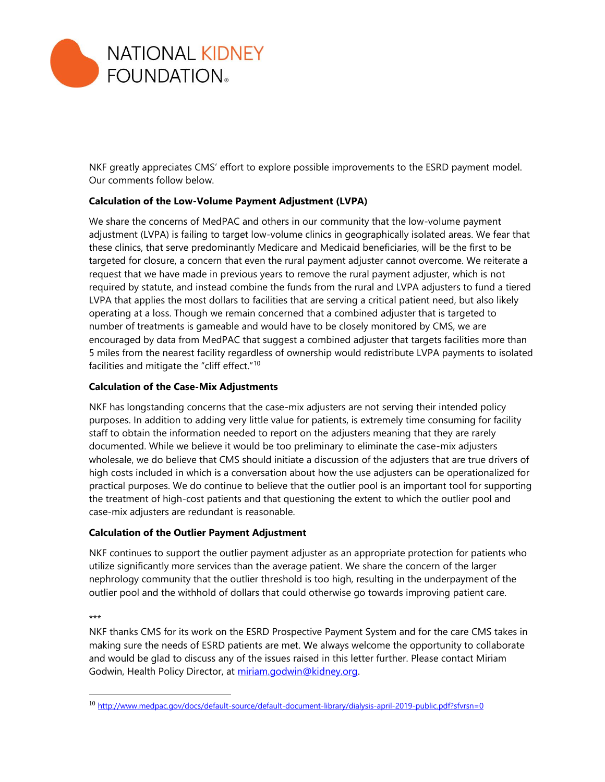

NKF greatly appreciates CMS' effort to explore possible improvements to the ESRD payment model. Our comments follow below.

# **Calculation of the Low-Volume Payment Adjustment (LVPA)**

We share the concerns of MedPAC and others in our community that the low-volume payment adjustment (LVPA) is failing to target low-volume clinics in geographically isolated areas. We fear that these clinics, that serve predominantly Medicare and Medicaid beneficiaries, will be the first to be targeted for closure, a concern that even the rural payment adjuster cannot overcome. We reiterate a request that we have made in previous years to remove the rural payment adjuster, which is not required by statute, and instead combine the funds from the rural and LVPA adjusters to fund a tiered LVPA that applies the most dollars to facilities that are serving a critical patient need, but also likely operating at a loss. Though we remain concerned that a combined adjuster that is targeted to number of treatments is gameable and would have to be closely monitored by CMS, we are encouraged by data from MedPAC that suggest a combined adjuster that targets facilities more than 5 miles from the nearest facility regardless of ownership would redistribute LVPA payments to isolated facilities and mitigate the "cliff effect."<sup>10</sup>

# **Calculation of the Case-Mix Adjustments**

NKF has longstanding concerns that the case-mix adjusters are not serving their intended policy purposes. In addition to adding very little value for patients, is extremely time consuming for facility staff to obtain the information needed to report on the adjusters meaning that they are rarely documented. While we believe it would be too preliminary to eliminate the case-mix adjusters wholesale, we do believe that CMS should initiate a discussion of the adjusters that are true drivers of high costs included in which is a conversation about how the use adjusters can be operationalized for practical purposes. We do continue to believe that the outlier pool is an important tool for supporting the treatment of high-cost patients and that questioning the extent to which the outlier pool and case-mix adjusters are redundant is reasonable.

# **Calculation of the Outlier Payment Adjustment**

NKF continues to support the outlier payment adjuster as an appropriate protection for patients who utilize significantly more services than the average patient. We share the concern of the larger nephrology community that the outlier threshold is too high, resulting in the underpayment of the outlier pool and the withhold of dollars that could otherwise go towards improving patient care.

\*\*\*

NKF thanks CMS for its work on the ESRD Prospective Payment System and for the care CMS takes in making sure the needs of ESRD patients are met. We always welcome the opportunity to collaborate and would be glad to discuss any of the issues raised in this letter further. Please contact Miriam Godwin, Health Policy Director, at miriam.godwin@kidney.org.

<sup>10</sup> <http://www.medpac.gov/docs/default-source/default-document-library/dialysis-april-2019-public.pdf?sfvrsn=0>